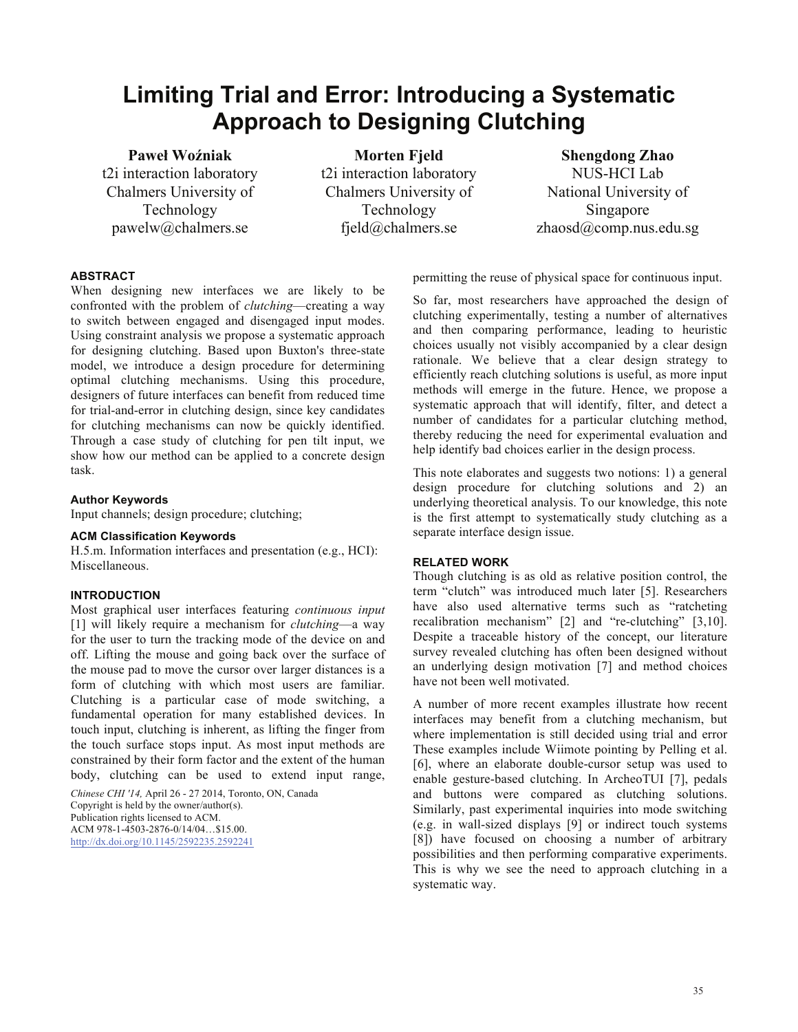# **Limiting Trial and Error: Introducing a Systematic Approach to Designing Clutching**

**Paweł Woźniak**  t2i interaction laboratory Chalmers University of Technology pawelw@chalmers.se

**Morten Fjeld**  t2i interaction laboratory Chalmers University of Technology fjeld@chalmers.se

**Shengdong Zhao**  NUS-HCI Lab National University of Singapore zhaosd@comp.nus.edu.sg

## **ABSTRACT**

When designing new interfaces we are likely to be confronted with the problem of *clutching*—creating a way to switch between engaged and disengaged input modes. Using constraint analysis we propose a systematic approach for designing clutching. Based upon Buxton's three-state model, we introduce a design procedure for determining optimal clutching mechanisms. Using this procedure, designers of future interfaces can benefit from reduced time for trial-and-error in clutching design, since key candidates for clutching mechanisms can now be quickly identified. Through a case study of clutching for pen tilt input, we show how our method can be applied to a concrete design task.

#### **Author Keywords**

Input channels; design procedure; clutching;

## **ACM Classification Keywords**

H.5.m. Information interfaces and presentation (e.g., HCI): Miscellaneous.

## **INTRODUCTION**

Most graphical user interfaces featuring *continuous input* [1] will likely require a mechanism for *clutching*—a way for the user to turn the tracking mode of the device on and off. Lifting the mouse and going back over the surface of the mouse pad to move the cursor over larger distances is a form of clutching with which most users are familiar. Clutching is a particular case of mode switching, a fundamental operation for many established devices. In touch input, clutching is inherent, as lifting the finger from the touch surface stops input. As most input methods are constrained by their form factor and the extent of the human body, clutching can be used to extend input range,

*Chinese CHI '14,* April 26 - 27 2014, Toronto, ON, Canada Copyright is held by the owner/author(s). Publication rights licensed to ACM. ACM 978-1-4503-2876-0/14/04…\$15.00. http://dx.doi.org/10.1145/2592235.2592241

permitting the reuse of physical space for continuous input.

So far, most researchers have approached the design of clutching experimentally, testing a number of alternatives and then comparing performance, leading to heuristic choices usually not visibly accompanied by a clear design rationale. We believe that a clear design strategy to efficiently reach clutching solutions is useful, as more input methods will emerge in the future. Hence, we propose a systematic approach that will identify, filter, and detect a number of candidates for a particular clutching method. thereby reducing the need for experimental evaluation and help identify bad choices earlier in the design process.

This note elaborates and suggests two notions: 1) a general design procedure for clutching solutions and 2) an underlying theoretical analysis. To our knowledge, this note is the first attempt to systematically study clutching as a separate interface design issue.

## **RELATED WORK**

Though clutching is as old as relative position control, the term "clutch" was introduced much later [5]. Researchers have also used alternative terms such as "ratcheting recalibration mechanism" [2] and "re-clutching" [3,10]. Despite a traceable history of the concept, our literature survey revealed clutching has often been designed without an underlying design motivation [7] and method choices have not been well motivated.

A number of more recent examples illustrate how recent interfaces may benefit from a clutching mechanism, but where implementation is still decided using trial and error These examples include Wiimote pointing by Pelling et al. [6], where an elaborate double-cursor setup was used to enable gesture-based clutching. In ArcheoTUI [7], pedals and buttons were compared as clutching solutions. Similarly, past experimental inquiries into mode switching (e.g. in wall-sized displays [9] or indirect touch systems [8]) have focused on choosing a number of arbitrary possibilities and then performing comparative experiments. This is why we see the need to approach clutching in a systematic way.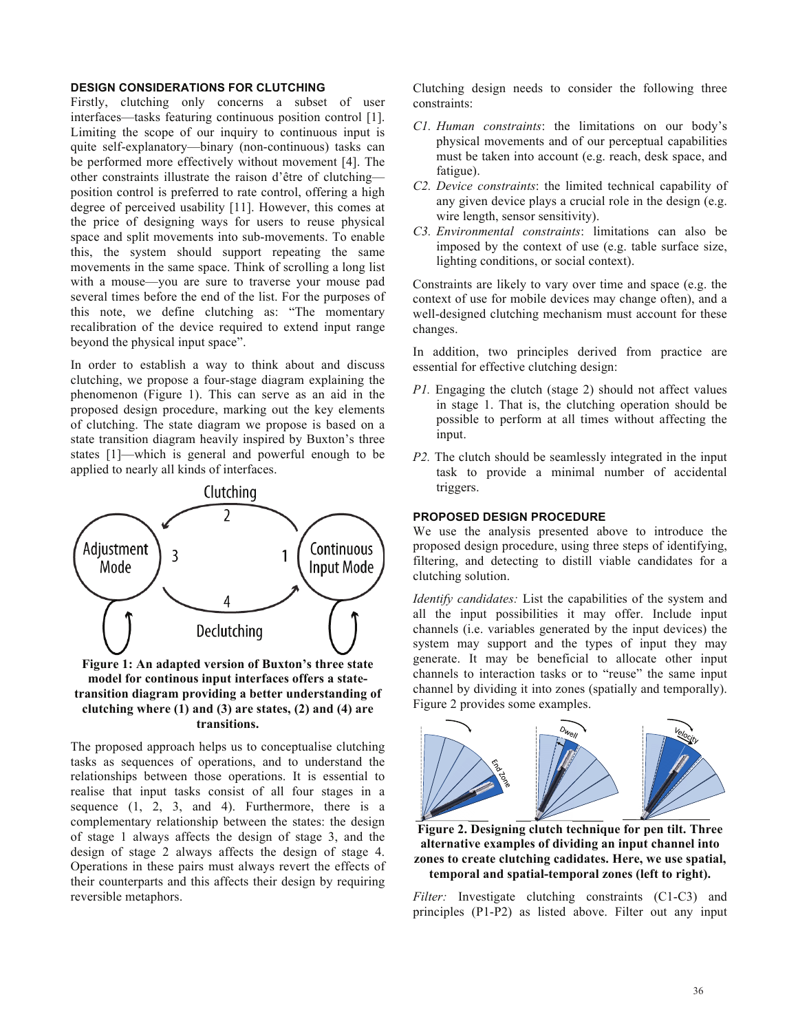## **DESIGN CONSIDERATIONS FOR CLUTCHING**

Firstly, clutching only concerns a subset of user interfaces—tasks featuring continuous position control [1]. Limiting the scope of our inquiry to continuous input is quite self-explanatory—binary (non-continuous) tasks can be performed more effectively without movement [4]. The other constraints illustrate the raison d'être of clutching position control is preferred to rate control, offering a high degree of perceived usability [11]. However, this comes at the price of designing ways for users to reuse physical space and split movements into sub-movements. To enable this, the system should support repeating the same movements in the same space. Think of scrolling a long list with a mouse—you are sure to traverse your mouse pad several times before the end of the list. For the purposes of this note, we define clutching as: "The momentary recalibration of the device required to extend input range beyond the physical input space".

In order to establish a way to think about and discuss clutching, we propose a four-stage diagram explaining the phenomenon (Figure 1). This can serve as an aid in the proposed design procedure, marking out the key elements of clutching. The state diagram we propose is based on a state transition diagram heavily inspired by Buxton's three states [1]—which is general and powerful enough to be applied to nearly all kinds of interfaces.



## **Figure 1: An adapted version of Buxton's three state model for continous input interfaces offers a statetransition diagram providing a better understanding of clutching where (1) and (3) are states, (2) and (4) are transitions.**

The proposed approach helps us to conceptualise clutching tasks as sequences of operations, and to understand the relationships between those operations. It is essential to realise that input tasks consist of all four stages in a sequence (1, 2, 3, and 4). Furthermore, there is a complementary relationship between the states: the design of stage 1 always affects the design of stage 3, and the design of stage 2 always affects the design of stage 4. Operations in these pairs must always revert the effects of their counterparts and this affects their design by requiring reversible metaphors.

Clutching design needs to consider the following three constraints:

- *C1. Human constraints*: the limitations on our body's physical movements and of our perceptual capabilities must be taken into account (e.g. reach, desk space, and fatigue).
- *C2. Device constraints*: the limited technical capability of any given device plays a crucial role in the design (e.g. wire length, sensor sensitivity).
- *C3. Environmental constraints*: limitations can also be imposed by the context of use (e.g. table surface size, lighting conditions, or social context).

Constraints are likely to vary over time and space (e.g. the context of use for mobile devices may change often), and a well-designed clutching mechanism must account for these changes.

In addition, two principles derived from practice are essential for effective clutching design:

- *P1.* Engaging the clutch (stage 2) should not affect values in stage 1. That is, the clutching operation should be possible to perform at all times without affecting the input.
- *P2.* The clutch should be seamlessly integrated in the input task to provide a minimal number of accidental triggers.

#### **PROPOSED DESIGN PROCEDURE**

We use the analysis presented above to introduce the proposed design procedure, using three steps of identifying, filtering, and detecting to distill viable candidates for a clutching solution.

*Identify candidates:* List the capabilities of the system and all the input possibilities it may offer. Include input channels (i.e. variables generated by the input devices) the system may support and the types of input they may generate. It may be beneficial to allocate other input channels to interaction tasks or to "reuse" the same input channel by dividing it into zones (spatially and temporally). Figure 2 provides some examples.



**Figure 2. Designing clutch technique for pen tilt. Three alternative examples of dividing an input channel into zones to create clutching cadidates. Here, we use spatial, temporal and spatial-temporal zones (left to right).** 

*Filter:* Investigate clutching constraints (C1-C3) and principles (P1-P2) as listed above. Filter out any input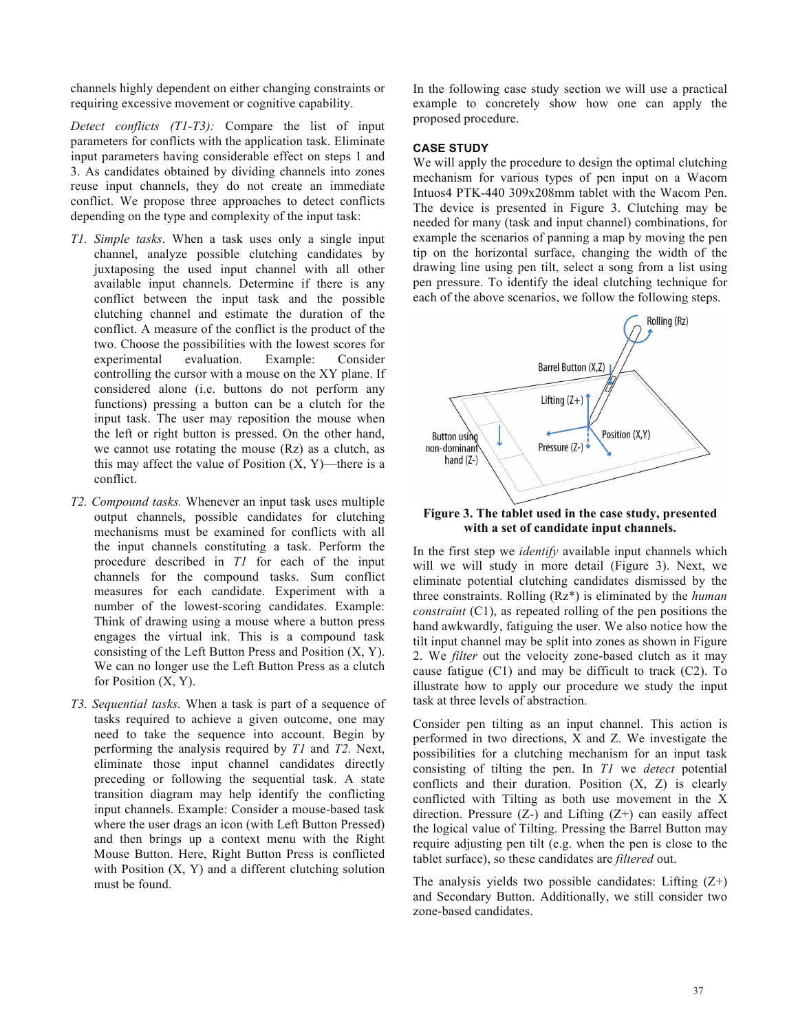channels highly dependent on either changing constraints or requiring excessive movement or cognitive capability.

*Detect conflicts (T1-T3):* Compare the list of input parameters for conflicts with the application task. Eliminate input parameters having considerable effect on steps 1 and 3. As candidates obtained by dividing channels into zones reuse input channels, they do not create an immediate conflict. We propose three approaches to detect conflicts depending on the type and complexity of the input task:

- *T1. Simple tasks*. When a task uses only a single input channel, analyze possible clutching candidates by juxtaposing the used input channel with all other available input channels. Determine if there is any conflict between the input task and the possible clutching channel and estimate the duration of the conflict. A measure of the conflict is the product of the two. Choose the possibilities with the lowest scores for experimental evaluation. Example: Consider controlling the cursor with a mouse on the XY plane. If considered alone (i.e. buttons do not perform any functions) pressing a button can be a clutch for the input task. The user may reposition the mouse when the left or right button is pressed. On the other hand, we cannot use rotating the mouse (Rz) as a clutch, as this may affect the value of Position  $(X, Y)$ —there is a conflict.
- *T2. Compound tasks.* Whenever an input task uses multiple output channels, possible candidates for clutching mechanisms must be examined for conflicts with all the input channels constituting a task. Perform the procedure described in *T1* for each of the input channels for the compound tasks. Sum conflict measures for each candidate. Experiment with a number of the lowest-scoring candidates. Example: Think of drawing using a mouse where a button press engages the virtual ink. This is a compound task consisting of the Left Button Press and Position (X, Y). We can no longer use the Left Button Press as a clutch for Position  $(X, Y)$ .
- *T3. Sequential tasks.* When a task is part of a sequence of tasks required to achieve a given outcome, one may need to take the sequence into account. Begin by performing the analysis required by *T1* and *T2*. Next, eliminate those input channel candidates directly preceding or following the sequential task. A state transition diagram may help identify the conflicting input channels. Example: Consider a mouse-based task where the user drags an icon (with Left Button Pressed) and then brings up a context menu with the Right Mouse Button. Here, Right Button Press is conflicted with Position  $(X, Y)$  and a different clutching solution must be found.

In the following case study section we will use a practical example to concretely show how one can apply the proposed procedure.

## **CASE STUDY**

We will apply the procedure to design the optimal clutching mechanism for various types of pen input on a Wacom Intuos4 PTK-440 309x208mm tablet with the Wacom Pen. The device is presented in Figure 3. Clutching may be needed for many (task and input channel) combinations, for example the scenarios of panning a map by moving the pen tip on the horizontal surface, changing the width of the drawing line using pen tilt, select a song from a list using pen pressure. To identify the ideal clutching technique for each of the above scenarios, we follow the following steps.



**Figure 3. The tablet used in the case study, presented with a set of candidate input channels.** 

In the first step we *identify* available input channels which will we will study in more detail (Figure 3). Next, we eliminate potential clutching candidates dismissed by the three constraints. Rolling (Rz\*) is eliminated by the *human constraint* (C1), as repeated rolling of the pen positions the hand awkwardly, fatiguing the user. We also notice how the tilt input channel may be split into zones as shown in Figure 2. We *filter* out the velocity zone-based clutch as it may cause fatigue (C1) and may be difficult to track (C2). To illustrate how to apply our procedure we study the input task at three levels of abstraction.

Consider pen tilting as an input channel. This action is performed in two directions, X and Z. We investigate the possibilities for a clutching mechanism for an input task consisting of tilting the pen. In *T1* we *detect* potential conflicts and their duration. Position (X, Z) is clearly conflicted with Tilting as both use movement in the X direction. Pressure  $(Z-)$  and Lifting  $(Z+)$  can easily affect the logical value of Tilting. Pressing the Barrel Button may require adjusting pen tilt (e.g. when the pen is close to the tablet surface), so these candidates are *filtered* out.

The analysis yields two possible candidates: Lifting  $(Z^+)$ and Secondary Button. Additionally, we still consider two zone-based candidates.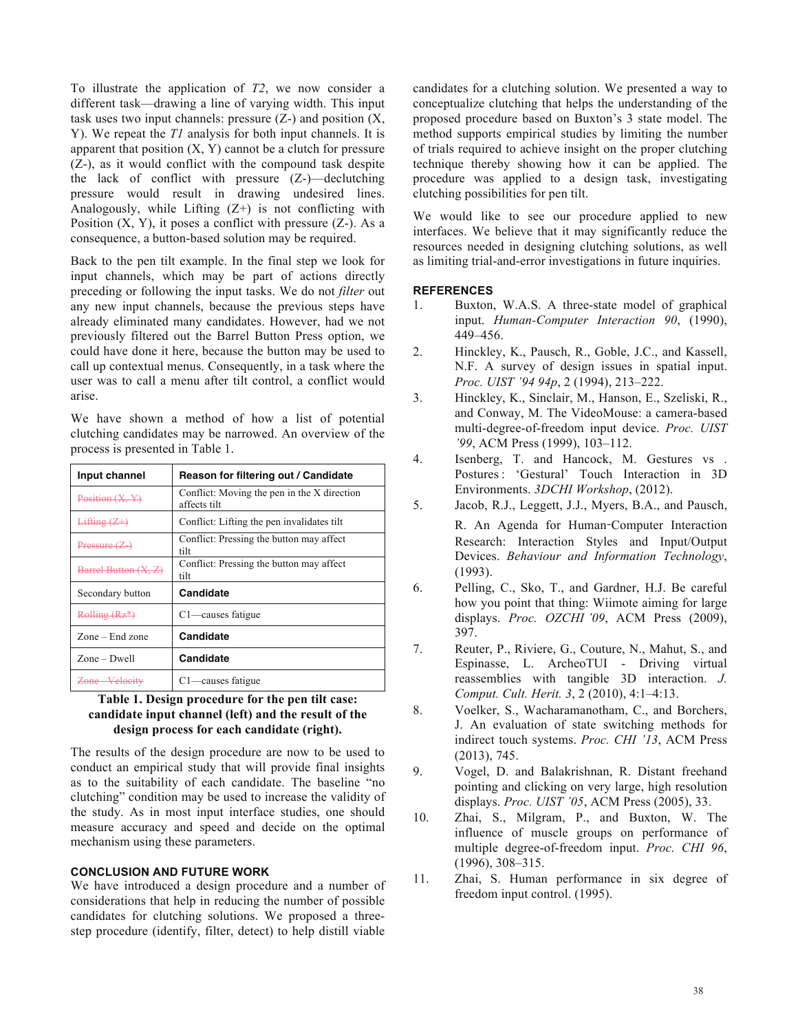To illustrate the application of *T2*, we now consider a different task—drawing a line of varying width. This input task uses two input channels: pressure  $(Z-)$  and position  $(X,$ Y). We repeat the *T1* analysis for both input channels. It is apparent that position  $(X, Y)$  cannot be a clutch for pressure (Z-), as it would conflict with the compound task despite the lack of conflict with pressure (Z-)—declutching pressure would result in drawing undesired lines. Analogously, while Lifting  $(Z+)$  is not conflicting with Position  $(X, Y)$ , it poses a conflict with pressure  $(Z<sub>-</sub>)$ . As a consequence, a button-based solution may be required.

Back to the pen tilt example. In the final step we look for input channels, which may be part of actions directly preceding or following the input tasks. We do not *filter* out any new input channels, because the previous steps have already eliminated many candidates. However, had we not previously filtered out the Barrel Button Press option, we could have done it here, because the button may be used to call up contextual menus. Consequently, in a task where the user was to call a menu after tilt control, a conflict would arise.

We have shown a method of how a list of potential clutching candidates may be narrowed. An overview of the process is presented in Table 1.

| Input channel        | Reason for filtering out / Candidate                        |
|----------------------|-------------------------------------------------------------|
| Position(X, Y)       | Conflict: Moving the pen in the X direction<br>affects tilt |
| Lifting $(Z+)$       | Conflict: Lifting the pen invalidates tilt                  |
| Pressure $(Z)$       | Conflict: Pressing the button may affect<br>tilt            |
| Barrel Button (X, Z) | Conflict: Pressing the button may affect<br>tilt            |
| Secondary button     | Candidate                                                   |
| Rolling (Rz*)        | C <sub>1</sub> —causes fatigue                              |
| Zone – End zone      | Candidate                                                   |
| $Zone-Dwell$         | Candidate                                                   |
| Zone Velocity        | $C1$ —causes fatigue                                        |

## **Table 1. Design procedure for the pen tilt case: candidate input channel (left) and the result of the design process for each candidate (right).**

The results of the design procedure are now to be used to conduct an empirical study that will provide final insights as to the suitability of each candidate. The baseline "no clutching" condition may be used to increase the validity of the study. As in most input interface studies, one should measure accuracy and speed and decide on the optimal mechanism using these parameters.

# **CONCLUSION AND FUTURE WORK**

We have introduced a design procedure and a number of considerations that help in reducing the number of possible candidates for clutching solutions. We proposed a threestep procedure (identify, filter, detect) to help distill viable candidates for a clutching solution. We presented a way to conceptualize clutching that helps the understanding of the proposed procedure based on Buxton's 3 state model. The method supports empirical studies by limiting the number of trials required to achieve insight on the proper clutching technique thereby showing how it can be applied. The procedure was applied to a design task, investigating clutching possibilities for pen tilt.

We would like to see our procedure applied to new interfaces. We believe that it may significantly reduce the resources needed in designing clutching solutions, as well as limiting trial-and-error investigations in future inquiries.

## **REFERENCES**

- 1. Buxton, W.A.S. A three-state model of graphical input. *Human-Computer Interaction 90*, (1990), 449–456.
- 2. Hinckley, K., Pausch, R., Goble, J.C., and Kassell, N.F. A survey of design issues in spatial input. *Proc. UIST '94 94p*, 2 (1994), 213–222.
- 3. Hinckley, K., Sinclair, M., Hanson, E., Szeliski, R., and Conway, M. The VideoMouse: a camera-based multi-degree-of-freedom input device. *Proc. UIST '99*, ACM Press (1999), 103–112.
- 4. Isenberg, T. and Hancock, M. Gestures vs . Postures : 'Gestural' Touch Interaction in 3D Environments. *3DCHI Workshop*, (2012).
- 5. Jacob, R.J., Leggett, J.J., Myers, B.A., and Pausch,
- R. An Agenda for Human-Computer Interaction Research: Interaction Styles and Input/Output Devices. *Behaviour and Information Technology*, (1993).
- 6. Pelling, C., Sko, T., and Gardner, H.J. Be careful how you point that thing: Wiimote aiming for large displays. *Proc. OZCHI '09*, ACM Press (2009), 397.
- 7. Reuter, P., Riviere, G., Couture, N., Mahut, S., and Espinasse, L. ArcheoTUI - Driving virtual reassemblies with tangible 3D interaction. *J. Comput. Cult. Herit. 3*, 2 (2010), 4:1–4:13.
- 8. Voelker, S., Wacharamanotham, C., and Borchers, J. An evaluation of state switching methods for indirect touch systems. *Proc. CHI '13*, ACM Press (2013), 745.
- 9. Vogel, D. and Balakrishnan, R. Distant freehand pointing and clicking on very large, high resolution displays. *Proc. UIST '05*, ACM Press (2005), 33.
- 10. Zhai, S., Milgram, P., and Buxton, W. The influence of muscle groups on performance of multiple degree-of-freedom input. *Proc. CHI 96*, (1996), 308–315.
- 11. Zhai, S. Human performance in six degree of freedom input control. (1995).